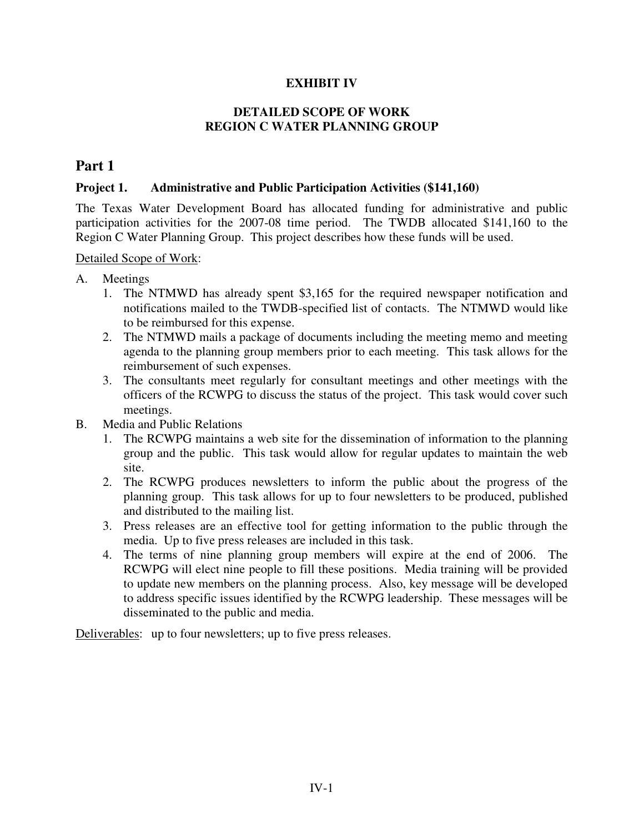### **EXHIBIT IV**

#### **DETAILED SCOPE OF WORK REGION C WATER PLANNING GROUP**

### **Part 1**

#### **Project 1. Administrative and Public Participation Activities (\$141,160)**

The Texas Water Development Board has allocated funding for administrative and public participation activities for the 2007-08 time period. The TWDB allocated \$141,160 to the Region C Water Planning Group. This project describes how these funds will be used.

Detailed Scope of Work:

- A. Meetings
	- 1. The NTMWD has already spent \$3,165 for the required newspaper notification and notifications mailed to the TWDB-specified list of contacts. The NTMWD would like to be reimbursed for this expense.
	- 2. The NTMWD mails a package of documents including the meeting memo and meeting agenda to the planning group members prior to each meeting. This task allows for the reimbursement of such expenses.
	- 3. The consultants meet regularly for consultant meetings and other meetings with the officers of the RCWPG to discuss the status of the project. This task would cover such meetings.
- B. Media and Public Relations
	- 1. The RCWPG maintains a web site for the dissemination of information to the planning group and the public. This task would allow for regular updates to maintain the web site.
	- 2. The RCWPG produces newsletters to inform the public about the progress of the planning group. This task allows for up to four newsletters to be produced, published and distributed to the mailing list.
	- 3. Press releases are an effective tool for getting information to the public through the media. Up to five press releases are included in this task.
	- 4. The terms of nine planning group members will expire at the end of 2006. The RCWPG will elect nine people to fill these positions. Media training will be provided to update new members on the planning process. Also, key message will be developed to address specific issues identified by the RCWPG leadership. These messages will be disseminated to the public and media.

Deliverables: up to four newsletters; up to five press releases.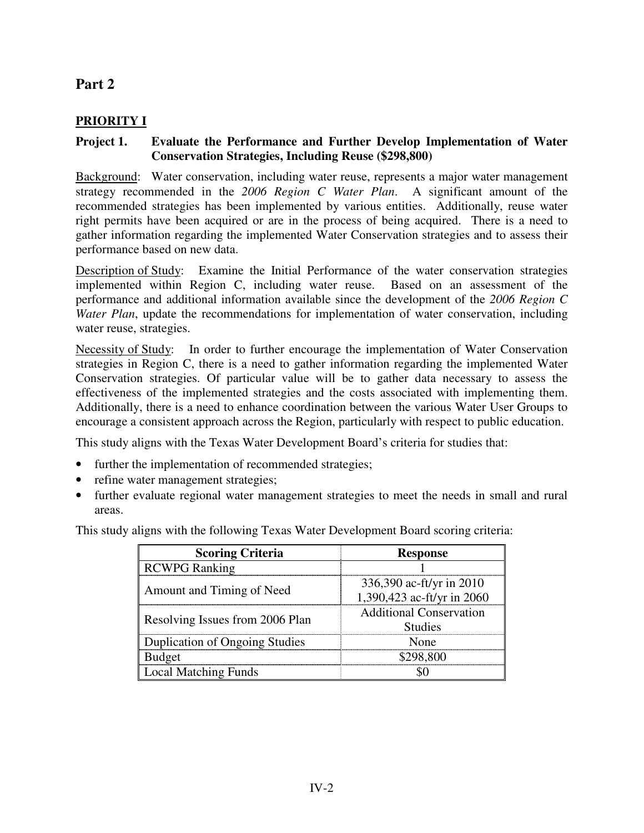# **Part 2**

# **PRIORITY I**

### **Project 1. Evaluate the Performance and Further Develop Implementation of Water Conservation Strategies, Including Reuse (\$298,800)**

Background: Water conservation, including water reuse, represents a major water management strategy recommended in the *2006 Region C Water Plan*. A significant amount of the recommended strategies has been implemented by various entities. Additionally, reuse water right permits have been acquired or are in the process of being acquired. There is a need to gather information regarding the implemented Water Conservation strategies and to assess their performance based on new data.

Description of Study: Examine the Initial Performance of the water conservation strategies implemented within Region C, including water reuse. Based on an assessment of the performance and additional information available since the development of the *2006 Region C Water Plan*, update the recommendations for implementation of water conservation, including water reuse, strategies.

Necessity of Study: In order to further encourage the implementation of Water Conservation strategies in Region C, there is a need to gather information regarding the implemented Water Conservation strategies. Of particular value will be to gather data necessary to assess the effectiveness of the implemented strategies and the costs associated with implementing them. Additionally, there is a need to enhance coordination between the various Water User Groups to encourage a consistent approach across the Region, particularly with respect to public education.

This study aligns with the Texas Water Development Board's criteria for studies that:

- further the implementation of recommended strategies;
- refine water management strategies;
- further evaluate regional water management strategies to meet the needs in small and rural areas.

This study aligns with the following Texas Water Development Board scoring criteria:

| <b>Scoring Criteria</b>               | <b>Response</b>                |
|---------------------------------------|--------------------------------|
| RCWPG Ranking                         |                                |
| Amount and Timing of Need             | 336,390 ac-ft/yr in 2010       |
|                                       | 1,390,423 ac-ft/yr in 2060     |
| Resolving Issues from 2006 Plan       | <b>Additional Conservation</b> |
|                                       | <b>Studies</b>                 |
| <b>Duplication of Ongoing Studies</b> | None                           |
| ud¤et                                 | 298.800                        |
| <b>Local Matching Funds</b>           |                                |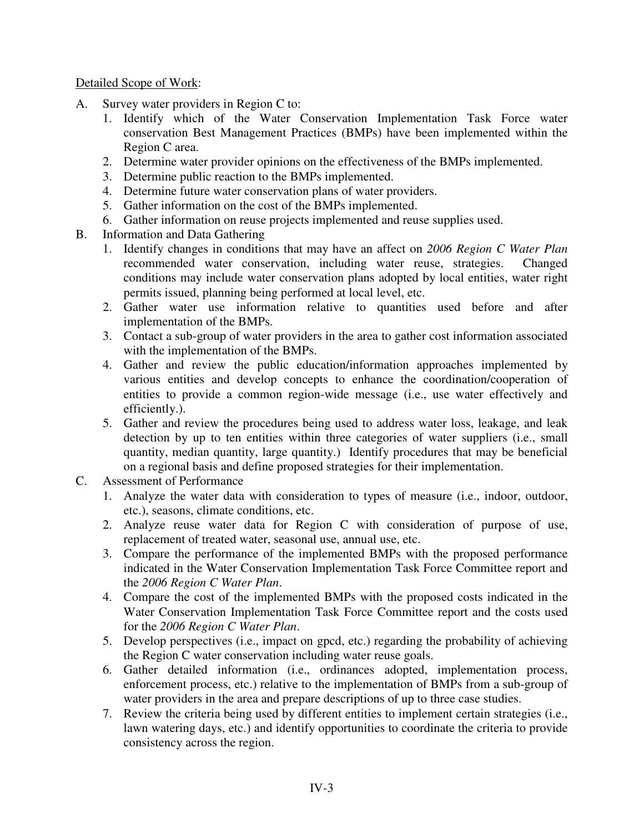#### Detailed Scope of Work:

- A. Survey water providers in Region C to:
	- 1. Identify which of the Water Conservation Implementation Task Force water conservation Best Management Practices (BMPs) have been implemented within the Region C area.
	- 2. Determine water provider opinions on the effectiveness of the BMPs implemented.
	- 3. Determine public reaction to the BMPs implemented.
	- 4. Determine future water conservation plans of water providers.
	- 5. Gather information on the cost of the BMPs implemented.
	- 6. Gather information on reuse projects implemented and reuse supplies used.
- B. Information and Data Gathering
	- 1. Identify changes in conditions that may have an affect on *2006 Region C Water Plan* recommended water conservation, including water reuse, strategies. Changed conditions may include water conservation plans adopted by local entities, water right permits issued, planning being performed at local level, etc.
	- 2. Gather water use information relative to quantities used before and after implementation of the BMPs.
	- 3. Contact a sub-group of water providers in the area to gather cost information associated with the implementation of the BMPs.
	- 4. Gather and review the public education/information approaches implemented by various entities and develop concepts to enhance the coordination/cooperation of entities to provide a common region-wide message (i.e., use water effectively and efficiently.).
	- 5. Gather and review the procedures being used to address water loss, leakage, and leak detection by up to ten entities within three categories of water suppliers (*i.e.*, small quantity, median quantity, large quantity.) Identify procedures that may be beneficial on a regional basis and define proposed strategies for their implementation.
- C. Assessment of Performance
	- 1. Analyze the water data with consideration to types of measure (i.e., indoor, outdoor, etc.), seasons, climate conditions, etc.
	- 2. Analyze reuse water data for Region C with consideration of purpose of use, replacement of treated water, seasonal use, annual use, etc.
	- 3. Compare the performance of the implemented BMPs with the proposed performance indicated in the Water Conservation Implementation Task Force Committee report and the *2006 Region C Water Plan*.
	- 4. Compare the cost of the implemented BMPs with the proposed costs indicated in the Water Conservation Implementation Task Force Committee report and the costs used for the *2006 Region C Water Plan*.
	- 5. Develop perspectives (i.e., impact on gpcd, etc.) regarding the probability of achieving the Region C water conservation including water reuse goals.
	- 6. Gather detailed information (i.e., ordinances adopted, implementation process, enforcement process, etc.) relative to the implementation of BMPs from a sub-group of water providers in the area and prepare descriptions of up to three case studies.
	- 7. Review the criteria being used by different entities to implement certain strategies (i.e., lawn watering days, etc.) and identify opportunities to coordinate the criteria to provide consistency across the region.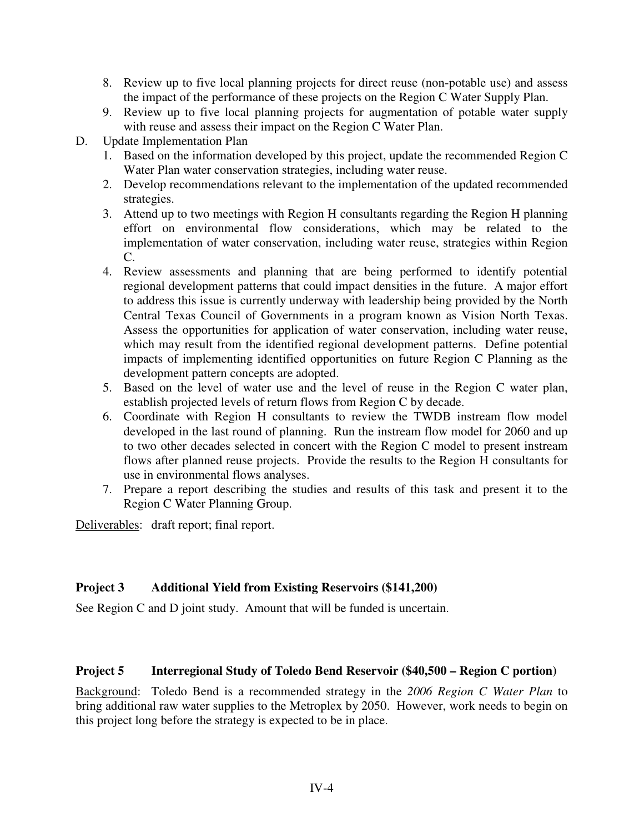- 8. Review up to five local planning projects for direct reuse (non-potable use) and assess the impact of the performance of these projects on the Region C Water Supply Plan.
- 9. Review up to five local planning projects for augmentation of potable water supply with reuse and assess their impact on the Region C Water Plan.
- D. Update Implementation Plan
	- 1. Based on the information developed by this project, update the recommended Region C Water Plan water conservation strategies, including water reuse.
	- 2. Develop recommendations relevant to the implementation of the updated recommended strategies.
	- 3. Attend up to two meetings with Region H consultants regarding the Region H planning effort on environmental flow considerations, which may be related to the implementation of water conservation, including water reuse, strategies within Region C.
	- 4. Review assessments and planning that are being performed to identify potential regional development patterns that could impact densities in the future. A major effort to address this issue is currently underway with leadership being provided by the North Central Texas Council of Governments in a program known as Vision North Texas. Assess the opportunities for application of water conservation, including water reuse, which may result from the identified regional development patterns. Define potential impacts of implementing identified opportunities on future Region C Planning as the development pattern concepts are adopted.
	- 5. Based on the level of water use and the level of reuse in the Region C water plan, establish projected levels of return flows from Region C by decade.
	- 6. Coordinate with Region H consultants to review the TWDB instream flow model developed in the last round of planning. Run the instream flow model for 2060 and up to two other decades selected in concert with the Region C model to present instream flows after planned reuse projects. Provide the results to the Region H consultants for use in environmental flows analyses.
	- 7. Prepare a report describing the studies and results of this task and present it to the Region C Water Planning Group.

Deliverables: draft report; final report.

# **Project 3 Additional Yield from Existing Reservoirs (\$141,200)**

See Region C and D joint study. Amount that will be funded is uncertain.

### **Project 5 Interregional Study of Toledo Bend Reservoir (\$40,500 – Region C portion)**

Background: Toledo Bend is a recommended strategy in the *2006 Region C Water Plan* to bring additional raw water supplies to the Metroplex by 2050. However, work needs to begin on this project long before the strategy is expected to be in place.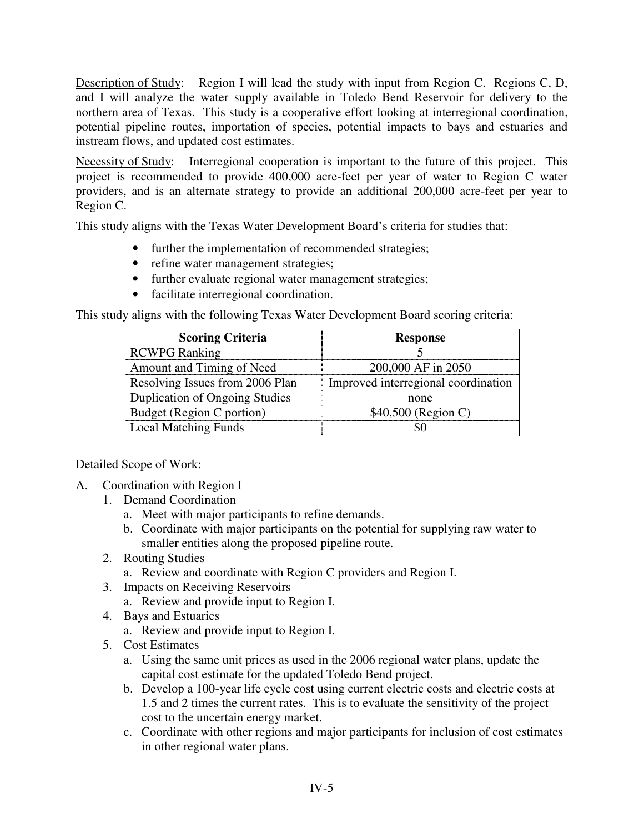Description of Study: Region I will lead the study with input from Region C. Regions C, D, and I will analyze the water supply available in Toledo Bend Reservoir for delivery to the northern area of Texas. This study is a cooperative effort looking at interregional coordination, potential pipeline routes, importation of species, potential impacts to bays and estuaries and instream flows, and updated cost estimates.

Necessity of Study: Interregional cooperation is important to the future of this project. This project is recommended to provide 400,000 acre-feet per year of water to Region C water providers, and is an alternate strategy to provide an additional 200,000 acre-feet per year to Region C.

This study aligns with the Texas Water Development Board's criteria for studies that:

- further the implementation of recommended strategies;
- refine water management strategies;
- further evaluate regional water management strategies;
- facilitate interregional coordination.

This study aligns with the following Texas Water Development Board scoring criteria:

| <b>Scoring Criteria</b>               | <b>Response</b>                     |
|---------------------------------------|-------------------------------------|
| <b>RCWPG Ranking</b>                  |                                     |
| Amount and Timing of Need             | 200,000 AF in 2050                  |
| Resolving Issues from 2006 Plan       | Improved interregional coordination |
| <b>Duplication of Ongoing Studies</b> | none                                |
| Budget (Region C portion)             | \$40,500 (Region C)                 |
| <b>Local Matching Funds</b>           |                                     |

### Detailed Scope of Work:

- A. Coordination with Region I
	- 1. Demand Coordination
		- a. Meet with major participants to refine demands.
		- b. Coordinate with major participants on the potential for supplying raw water to smaller entities along the proposed pipeline route.
	- 2. Routing Studies
		- a. Review and coordinate with Region C providers and Region I.
	- 3. Impacts on Receiving Reservoirs
		- a. Review and provide input to Region I.
	- 4. Bays and Estuaries
		- a. Review and provide input to Region I.
	- 5. Cost Estimates
		- a. Using the same unit prices as used in the 2006 regional water plans, update the capital cost estimate for the updated Toledo Bend project.
		- b. Develop a 100-year life cycle cost using current electric costs and electric costs at 1.5 and 2 times the current rates. This is to evaluate the sensitivity of the project cost to the uncertain energy market.
		- c. Coordinate with other regions and major participants for inclusion of cost estimates in other regional water plans.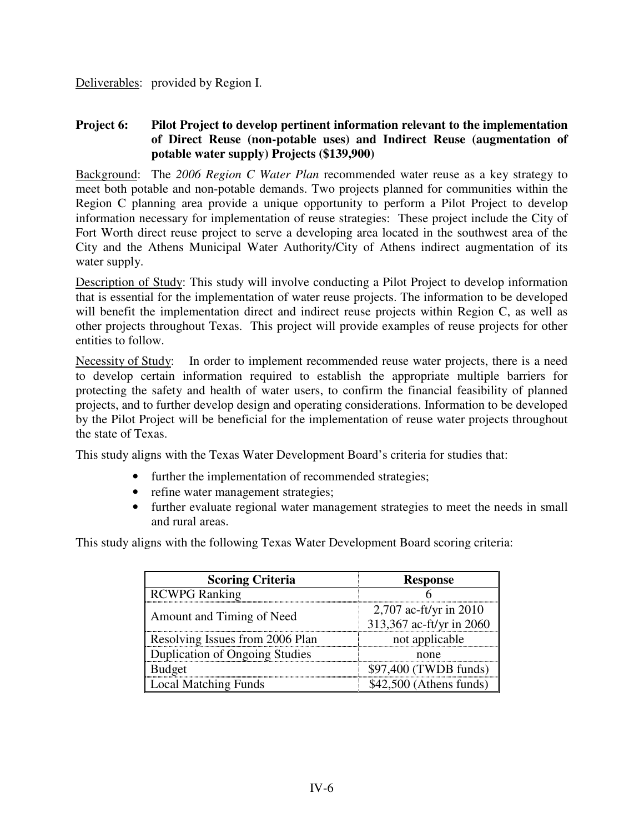Deliverables: provided by Region I.

#### **Project 6: Pilot Project to develop pertinent information relevant to the implementation of Direct Reuse (non-potable uses) and Indirect Reuse (augmentation of potable water supply) Projects (\$139,900)**

Background: The *2006 Region C Water Plan* recommended water reuse as a key strategy to meet both potable and non-potable demands. Two projects planned for communities within the Region C planning area provide a unique opportunity to perform a Pilot Project to develop information necessary for implementation of reuse strategies: These project include the City of Fort Worth direct reuse project to serve a developing area located in the southwest area of the City and the Athens Municipal Water Authority/City of Athens indirect augmentation of its water supply.

Description of Study: This study will involve conducting a Pilot Project to develop information that is essential for the implementation of water reuse projects. The information to be developed will benefit the implementation direct and indirect reuse projects within Region C, as well as other projects throughout Texas. This project will provide examples of reuse projects for other entities to follow.

Necessity of Study: In order to implement recommended reuse water projects, there is a need to develop certain information required to establish the appropriate multiple barriers for protecting the safety and health of water users, to confirm the financial feasibility of planned projects, and to further develop design and operating considerations. Information to be developed by the Pilot Project will be beneficial for the implementation of reuse water projects throughout the state of Texas.

This study aligns with the Texas Water Development Board's criteria for studies that:

- further the implementation of recommended strategies;
- refine water management strategies;
- further evaluate regional water management strategies to meet the needs in small and rural areas.

This study aligns with the following Texas Water Development Board scoring criteria:

| <b>Scoring Criteria</b>         | <b>Response</b>                                      |
|---------------------------------|------------------------------------------------------|
| RCWPG Ranking                   |                                                      |
| Amount and Timing of Need       | 2,707 ac-ft/yr in $2010$<br>313,367 ac-ft/yr in 2060 |
| Resolving Issues from 2006 Plan | not applicable                                       |
| Duplication of Ongoing Studies  | none                                                 |
| Budget                          | \$97,400 (TWDB funds)                                |
| <b>Local Matching Funds</b>     | $$42,500$ (Athens funds)                             |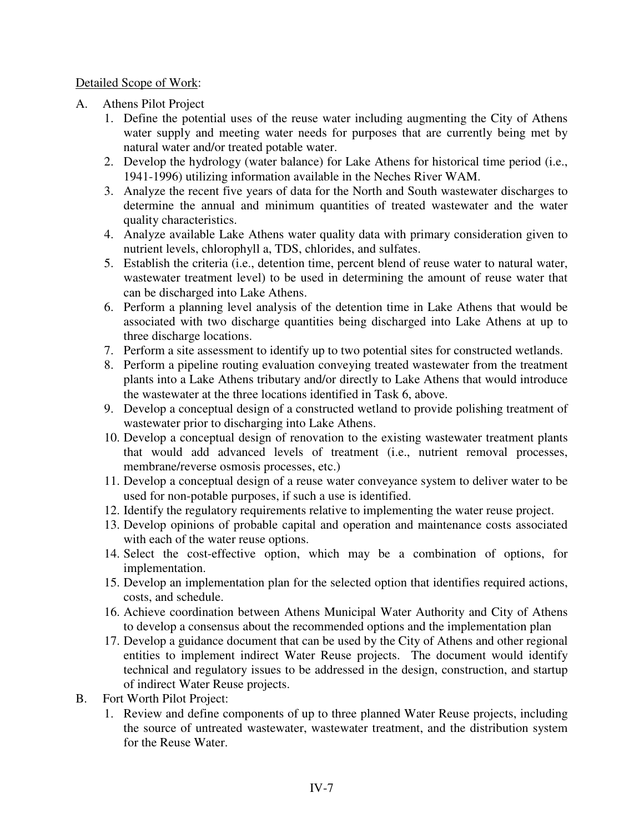#### Detailed Scope of Work:

- A. Athens Pilot Project
	- 1. Define the potential uses of the reuse water including augmenting the City of Athens water supply and meeting water needs for purposes that are currently being met by natural water and/or treated potable water.
	- 2. Develop the hydrology (water balance) for Lake Athens for historical time period (i.e., 1941-1996) utilizing information available in the Neches River WAM.
	- 3. Analyze the recent five years of data for the North and South wastewater discharges to determine the annual and minimum quantities of treated wastewater and the water quality characteristics.
	- 4. Analyze available Lake Athens water quality data with primary consideration given to nutrient levels, chlorophyll a, TDS, chlorides, and sulfates.
	- 5. Establish the criteria (i.e., detention time, percent blend of reuse water to natural water, wastewater treatment level) to be used in determining the amount of reuse water that can be discharged into Lake Athens.
	- 6. Perform a planning level analysis of the detention time in Lake Athens that would be associated with two discharge quantities being discharged into Lake Athens at up to three discharge locations.
	- 7. Perform a site assessment to identify up to two potential sites for constructed wetlands.
	- 8. Perform a pipeline routing evaluation conveying treated wastewater from the treatment plants into a Lake Athens tributary and/or directly to Lake Athens that would introduce the wastewater at the three locations identified in Task 6, above.
	- 9. Develop a conceptual design of a constructed wetland to provide polishing treatment of wastewater prior to discharging into Lake Athens.
	- 10. Develop a conceptual design of renovation to the existing wastewater treatment plants that would add advanced levels of treatment (i.e., nutrient removal processes, membrane/reverse osmosis processes, etc.)
	- 11. Develop a conceptual design of a reuse water conveyance system to deliver water to be used for non-potable purposes, if such a use is identified.
	- 12. Identify the regulatory requirements relative to implementing the water reuse project.
	- 13. Develop opinions of probable capital and operation and maintenance costs associated with each of the water reuse options.
	- 14. Select the cost-effective option, which may be a combination of options, for implementation.
	- 15. Develop an implementation plan for the selected option that identifies required actions, costs, and schedule.
	- 16. Achieve coordination between Athens Municipal Water Authority and City of Athens to develop a consensus about the recommended options and the implementation plan
	- 17. Develop a guidance document that can be used by the City of Athens and other regional entities to implement indirect Water Reuse projects. The document would identify technical and regulatory issues to be addressed in the design, construction, and startup of indirect Water Reuse projects.
- B. Fort Worth Pilot Project:
	- 1. Review and define components of up to three planned Water Reuse projects, including the source of untreated wastewater, wastewater treatment, and the distribution system for the Reuse Water.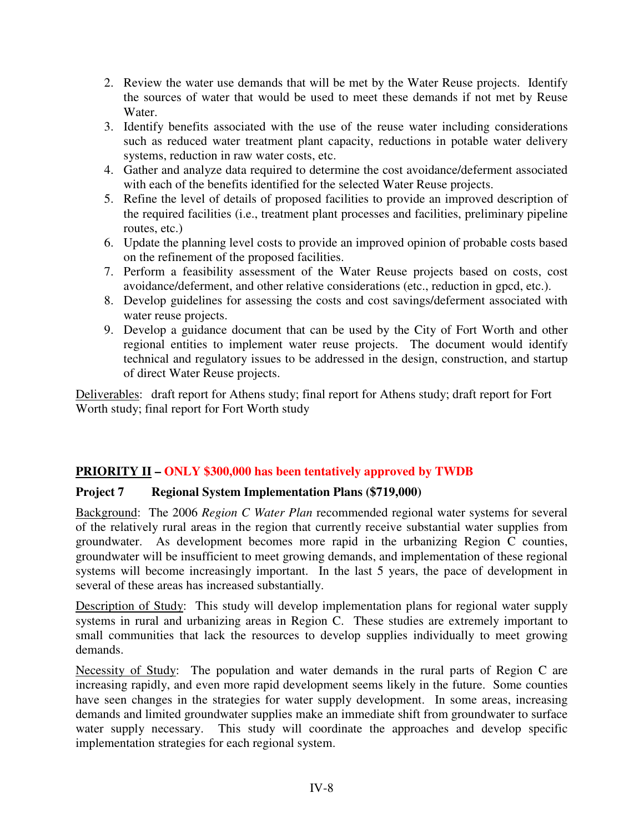- 2. Review the water use demands that will be met by the Water Reuse projects. Identify the sources of water that would be used to meet these demands if not met by Reuse Water.
- 3. Identify benefits associated with the use of the reuse water including considerations such as reduced water treatment plant capacity, reductions in potable water delivery systems, reduction in raw water costs, etc.
- 4. Gather and analyze data required to determine the cost avoidance/deferment associated with each of the benefits identified for the selected Water Reuse projects.
- 5. Refine the level of details of proposed facilities to provide an improved description of the required facilities (i.e., treatment plant processes and facilities, preliminary pipeline routes, etc.)
- 6. Update the planning level costs to provide an improved opinion of probable costs based on the refinement of the proposed facilities.
- 7. Perform a feasibility assessment of the Water Reuse projects based on costs, cost avoidance/deferment, and other relative considerations (etc., reduction in gpcd, etc.).
- 8. Develop guidelines for assessing the costs and cost savings/deferment associated with water reuse projects.
- 9. Develop a guidance document that can be used by the City of Fort Worth and other regional entities to implement water reuse projects. The document would identify technical and regulatory issues to be addressed in the design, construction, and startup of direct Water Reuse projects.

Deliverables: draft report for Athens study; final report for Athens study; draft report for Fort Worth study; final report for Fort Worth study

### **PRIORITY II – ONLY \$300,000 has been tentatively approved by TWDB**

### **Project 7 Regional System Implementation Plans (\$719,000)**

Background: The 2006 *Region C Water Plan* recommended regional water systems for several of the relatively rural areas in the region that currently receive substantial water supplies from groundwater. As development becomes more rapid in the urbanizing Region C counties, groundwater will be insufficient to meet growing demands, and implementation of these regional systems will become increasingly important. In the last 5 years, the pace of development in several of these areas has increased substantially.

Description of Study: This study will develop implementation plans for regional water supply systems in rural and urbanizing areas in Region C. These studies are extremely important to small communities that lack the resources to develop supplies individually to meet growing demands.

Necessity of Study: The population and water demands in the rural parts of Region C are increasing rapidly, and even more rapid development seems likely in the future. Some counties have seen changes in the strategies for water supply development. In some areas, increasing demands and limited groundwater supplies make an immediate shift from groundwater to surface water supply necessary. This study will coordinate the approaches and develop specific implementation strategies for each regional system.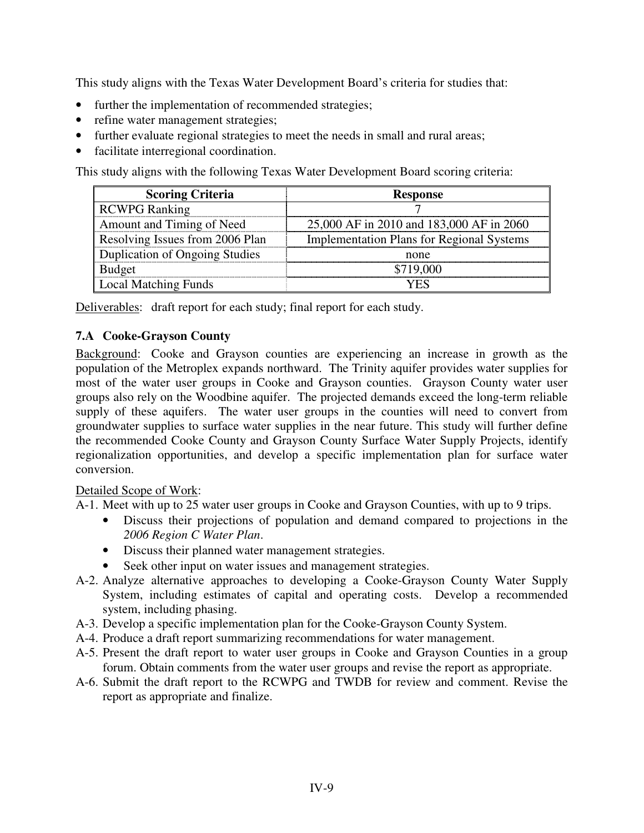This study aligns with the Texas Water Development Board's criteria for studies that:

- further the implementation of recommended strategies;
- refine water management strategies;
- further evaluate regional strategies to meet the needs in small and rural areas;
- facilitate interregional coordination.

This study aligns with the following Texas Water Development Board scoring criteria:

| <b>Scoring Criteria</b>         | <b>Response</b>                                  |
|---------------------------------|--------------------------------------------------|
| RCWPG Ranking                   |                                                  |
| Amount and Timing of Need       | 25,000 AF in 2010 and 183,000 AF in 2060         |
| Resolving Issues from 2006 Plan | <b>Implementation Plans for Regional Systems</b> |
| Duplication of Ongoing Studies  | none                                             |
| <b>Budget</b>                   | \$719,000                                        |
| Local Matching Funds            |                                                  |

Deliverables: draft report for each study; final report for each study.

# **7.A Cooke-Grayson County**

Background: Cooke and Grayson counties are experiencing an increase in growth as the population of the Metroplex expands northward. The Trinity aquifer provides water supplies for most of the water user groups in Cooke and Grayson counties. Grayson County water user groups also rely on the Woodbine aquifer. The projected demands exceed the long-term reliable supply of these aquifers. The water user groups in the counties will need to convert from groundwater supplies to surface water supplies in the near future. This study will further define the recommended Cooke County and Grayson County Surface Water Supply Projects, identify regionalization opportunities, and develop a specific implementation plan for surface water conversion.

### Detailed Scope of Work:

A-1. Meet with up to 25 water user groups in Cooke and Grayson Counties, with up to 9 trips.

- Discuss their projections of population and demand compared to projections in the *2006 Region C Water Plan*.
- Discuss their planned water management strategies.
- Seek other input on water issues and management strategies.
- A-2. Analyze alternative approaches to developing a Cooke-Grayson County Water Supply System, including estimates of capital and operating costs. Develop a recommended system, including phasing.
- A-3. Develop a specific implementation plan for the Cooke-Grayson County System.
- A-4. Produce a draft report summarizing recommendations for water management.
- A-5. Present the draft report to water user groups in Cooke and Grayson Counties in a group forum. Obtain comments from the water user groups and revise the report as appropriate.
- A-6. Submit the draft report to the RCWPG and TWDB for review and comment. Revise the report as appropriate and finalize.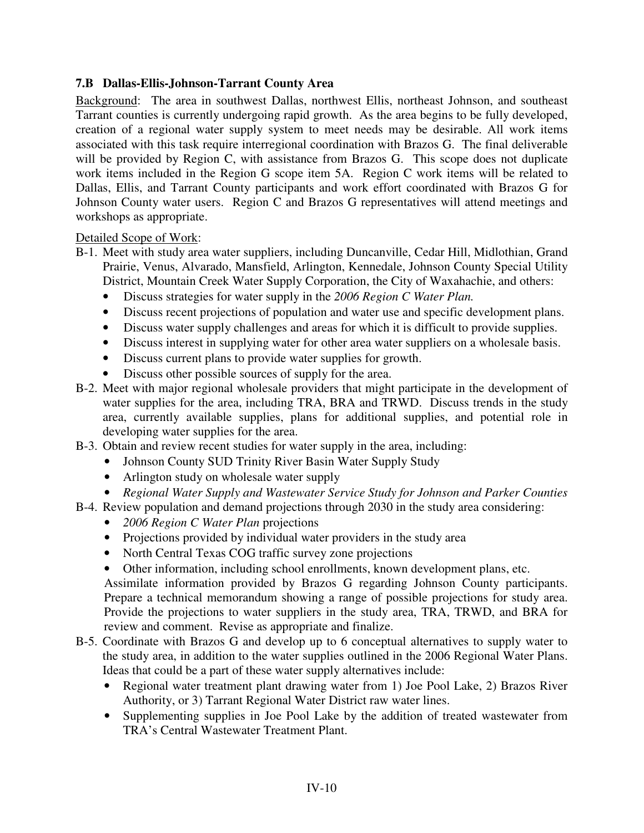### **7.B Dallas-Ellis-Johnson-Tarrant County Area**

Background: The area in southwest Dallas, northwest Ellis, northeast Johnson, and southeast Tarrant counties is currently undergoing rapid growth. As the area begins to be fully developed, creation of a regional water supply system to meet needs may be desirable. All work items associated with this task require interregional coordination with Brazos G. The final deliverable will be provided by Region C, with assistance from Brazos G. This scope does not duplicate work items included in the Region G scope item 5A. Region C work items will be related to Dallas, Ellis, and Tarrant County participants and work effort coordinated with Brazos G for Johnson County water users. Region C and Brazos G representatives will attend meetings and workshops as appropriate.

#### Detailed Scope of Work:

- B-1. Meet with study area water suppliers, including Duncanville, Cedar Hill, Midlothian, Grand Prairie, Venus, Alvarado, Mansfield, Arlington, Kennedale, Johnson County Special Utility District, Mountain Creek Water Supply Corporation, the City of Waxahachie, and others:
	- Discuss strategies for water supply in the *2006 Region C Water Plan.*
	- Discuss recent projections of population and water use and specific development plans.
	- Discuss water supply challenges and areas for which it is difficult to provide supplies.
	- Discuss interest in supplying water for other area water suppliers on a wholesale basis.
	- Discuss current plans to provide water supplies for growth.
	- Discuss other possible sources of supply for the area.
- B-2. Meet with major regional wholesale providers that might participate in the development of water supplies for the area, including TRA, BRA and TRWD. Discuss trends in the study area, currently available supplies, plans for additional supplies, and potential role in developing water supplies for the area.
- B-3. Obtain and review recent studies for water supply in the area, including:
	- Johnson County SUD Trinity River Basin Water Supply Study
	- Arlington study on wholesale water supply
	- *Regional Water Supply and Wastewater Service Study for Johnson and Parker Counties*
- B-4. Review population and demand projections through 2030 in the study area considering:
	- *2006 Region C Water Plan* projections
	- Projections provided by individual water providers in the study area
	- North Central Texas COG traffic survey zone projections
	- Other information, including school enrollments, known development plans, etc.

Assimilate information provided by Brazos G regarding Johnson County participants. Prepare a technical memorandum showing a range of possible projections for study area. Provide the projections to water suppliers in the study area, TRA, TRWD, and BRA for review and comment. Revise as appropriate and finalize.

- B-5. Coordinate with Brazos G and develop up to 6 conceptual alternatives to supply water to the study area, in addition to the water supplies outlined in the 2006 Regional Water Plans. Ideas that could be a part of these water supply alternatives include:
	- Regional water treatment plant drawing water from 1) Joe Pool Lake, 2) Brazos River Authority, or 3) Tarrant Regional Water District raw water lines.
	- Supplementing supplies in Joe Pool Lake by the addition of treated wastewater from TRA's Central Wastewater Treatment Plant.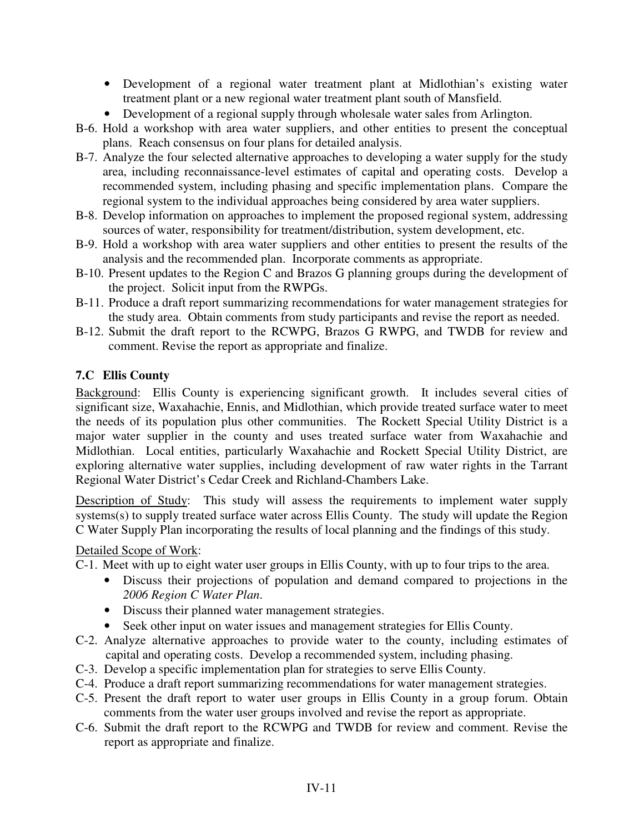- Development of a regional water treatment plant at Midlothian's existing water treatment plant or a new regional water treatment plant south of Mansfield.
- Development of a regional supply through wholesale water sales from Arlington.
- B-6. Hold a workshop with area water suppliers, and other entities to present the conceptual plans. Reach consensus on four plans for detailed analysis.
- B-7. Analyze the four selected alternative approaches to developing a water supply for the study area, including reconnaissance-level estimates of capital and operating costs. Develop a recommended system, including phasing and specific implementation plans. Compare the regional system to the individual approaches being considered by area water suppliers.
- B-8. Develop information on approaches to implement the proposed regional system, addressing sources of water, responsibility for treatment/distribution, system development, etc.
- B-9. Hold a workshop with area water suppliers and other entities to present the results of the analysis and the recommended plan. Incorporate comments as appropriate.
- B-10. Present updates to the Region C and Brazos G planning groups during the development of the project. Solicit input from the RWPGs.
- B-11. Produce a draft report summarizing recommendations for water management strategies for the study area. Obtain comments from study participants and revise the report as needed.
- B-12. Submit the draft report to the RCWPG, Brazos G RWPG, and TWDB for review and comment. Revise the report as appropriate and finalize.

### **7.C Ellis County**

Background: Ellis County is experiencing significant growth. It includes several cities of significant size, Waxahachie, Ennis, and Midlothian, which provide treated surface water to meet the needs of its population plus other communities. The Rockett Special Utility District is a major water supplier in the county and uses treated surface water from Waxahachie and Midlothian. Local entities, particularly Waxahachie and Rockett Special Utility District, are exploring alternative water supplies, including development of raw water rights in the Tarrant Regional Water District's Cedar Creek and Richland-Chambers Lake.

Description of Study: This study will assess the requirements to implement water supply systems(s) to supply treated surface water across Ellis County. The study will update the Region C Water Supply Plan incorporating the results of local planning and the findings of this study.

#### Detailed Scope of Work:

C-1. Meet with up to eight water user groups in Ellis County, with up to four trips to the area.

- Discuss their projections of population and demand compared to projections in the *2006 Region C Water Plan*.
- Discuss their planned water management strategies.
- Seek other input on water issues and management strategies for Ellis County.
- C-2. Analyze alternative approaches to provide water to the county, including estimates of capital and operating costs. Develop a recommended system, including phasing.
- C-3. Develop a specific implementation plan for strategies to serve Ellis County.
- C-4. Produce a draft report summarizing recommendations for water management strategies.
- C-5. Present the draft report to water user groups in Ellis County in a group forum. Obtain comments from the water user groups involved and revise the report as appropriate.
- C-6. Submit the draft report to the RCWPG and TWDB for review and comment. Revise the report as appropriate and finalize.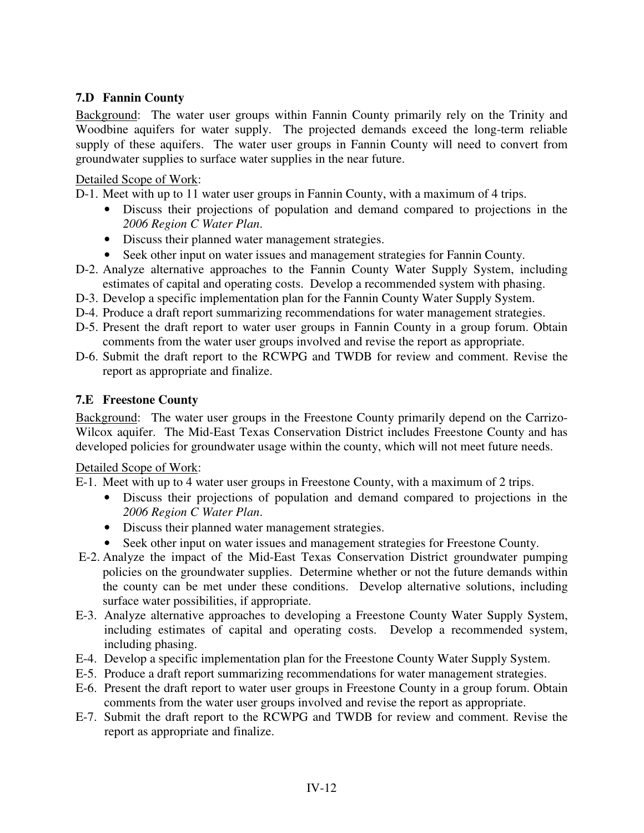## **7.D Fannin County**

Background: The water user groups within Fannin County primarily rely on the Trinity and Woodbine aquifers for water supply. The projected demands exceed the long-term reliable supply of these aquifers. The water user groups in Fannin County will need to convert from groundwater supplies to surface water supplies in the near future.

#### Detailed Scope of Work:

D-1. Meet with up to 11 water user groups in Fannin County, with a maximum of 4 trips.

- Discuss their projections of population and demand compared to projections in the *2006 Region C Water Plan*.
- Discuss their planned water management strategies.
- Seek other input on water issues and management strategies for Fannin County.
- D-2. Analyze alternative approaches to the Fannin County Water Supply System, including estimates of capital and operating costs. Develop a recommended system with phasing.
- D-3. Develop a specific implementation plan for the Fannin County Water Supply System.
- D-4. Produce a draft report summarizing recommendations for water management strategies.
- D-5. Present the draft report to water user groups in Fannin County in a group forum. Obtain comments from the water user groups involved and revise the report as appropriate.
- D-6. Submit the draft report to the RCWPG and TWDB for review and comment. Revise the report as appropriate and finalize.

#### **7.E Freestone County**

Background: The water user groups in the Freestone County primarily depend on the Carrizo-Wilcox aquifer. The Mid-East Texas Conservation District includes Freestone County and has developed policies for groundwater usage within the county, which will not meet future needs.

#### Detailed Scope of Work:

E-1. Meet with up to 4 water user groups in Freestone County, with a maximum of 2 trips.

- Discuss their projections of population and demand compared to projections in the *2006 Region C Water Plan*.
- Discuss their planned water management strategies.
- Seek other input on water issues and management strategies for Freestone County.
- E-2. Analyze the impact of the Mid-East Texas Conservation District groundwater pumping policies on the groundwater supplies. Determine whether or not the future demands within the county can be met under these conditions. Develop alternative solutions, including surface water possibilities, if appropriate.
- E-3. Analyze alternative approaches to developing a Freestone County Water Supply System, including estimates of capital and operating costs. Develop a recommended system, including phasing.
- E-4. Develop a specific implementation plan for the Freestone County Water Supply System.
- E-5. Produce a draft report summarizing recommendations for water management strategies.
- E-6. Present the draft report to water user groups in Freestone County in a group forum. Obtain comments from the water user groups involved and revise the report as appropriate.
- E-7. Submit the draft report to the RCWPG and TWDB for review and comment. Revise the report as appropriate and finalize.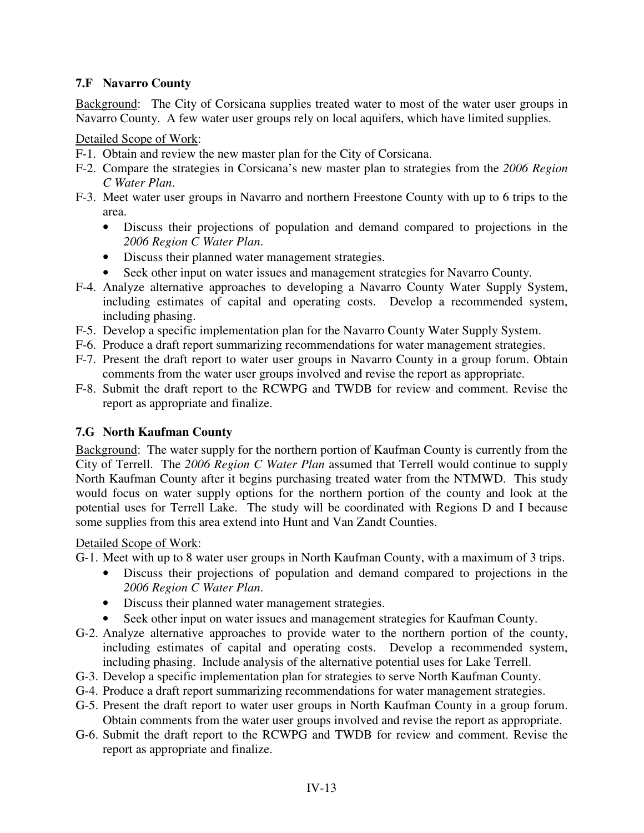# **7.F Navarro County**

Background: The City of Corsicana supplies treated water to most of the water user groups in Navarro County. A few water user groups rely on local aquifers, which have limited supplies.

#### Detailed Scope of Work:

- F-1. Obtain and review the new master plan for the City of Corsicana.
- F-2. Compare the strategies in Corsicana's new master plan to strategies from the *2006 Region C Water Plan*.
- F-3. Meet water user groups in Navarro and northern Freestone County with up to 6 trips to the area.
	- Discuss their projections of population and demand compared to projections in the *2006 Region C Water Plan*.
	- Discuss their planned water management strategies.
	- Seek other input on water issues and management strategies for Navarro County.
- F-4. Analyze alternative approaches to developing a Navarro County Water Supply System, including estimates of capital and operating costs. Develop a recommended system, including phasing.
- F-5. Develop a specific implementation plan for the Navarro County Water Supply System.
- F-6. Produce a draft report summarizing recommendations for water management strategies.
- F-7. Present the draft report to water user groups in Navarro County in a group forum. Obtain comments from the water user groups involved and revise the report as appropriate.
- F-8. Submit the draft report to the RCWPG and TWDB for review and comment. Revise the report as appropriate and finalize.

### **7.G North Kaufman County**

Background: The water supply for the northern portion of Kaufman County is currently from the City of Terrell. The *2006 Region C Water Plan* assumed that Terrell would continue to supply North Kaufman County after it begins purchasing treated water from the NTMWD. This study would focus on water supply options for the northern portion of the county and look at the potential uses for Terrell Lake. The study will be coordinated with Regions D and I because some supplies from this area extend into Hunt and Van Zandt Counties.

### Detailed Scope of Work:

G-1. Meet with up to 8 water user groups in North Kaufman County, with a maximum of 3 trips.

- Discuss their projections of population and demand compared to projections in the *2006 Region C Water Plan*.
- Discuss their planned water management strategies.
- Seek other input on water issues and management strategies for Kaufman County.
- G-2. Analyze alternative approaches to provide water to the northern portion of the county, including estimates of capital and operating costs. Develop a recommended system, including phasing. Include analysis of the alternative potential uses for Lake Terrell.
- G-3. Develop a specific implementation plan for strategies to serve North Kaufman County.
- G-4. Produce a draft report summarizing recommendations for water management strategies.
- G-5. Present the draft report to water user groups in North Kaufman County in a group forum. Obtain comments from the water user groups involved and revise the report as appropriate.
- G-6. Submit the draft report to the RCWPG and TWDB for review and comment. Revise the report as appropriate and finalize.